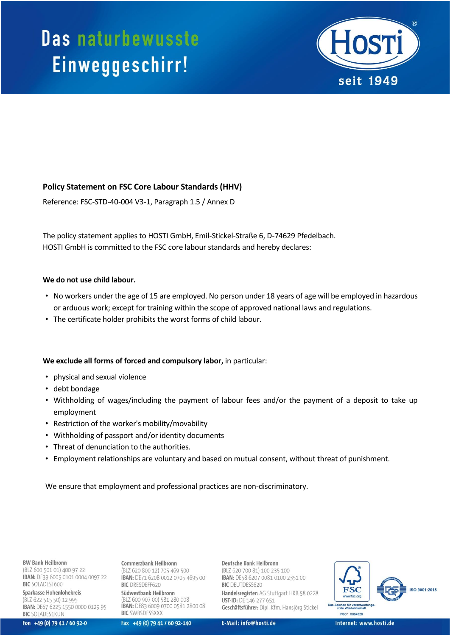

## **Policy Statement on FSC Core Labour Standards (HHV)**

Reference: FSC-STD-40-004 V3-1, Paragraph 1.5 / Annex D

The policy statement applies to HOSTI GmbH, Emil-Stickel-Straße 6, D-74629 Pfedelbach. HOSTI GmbH is committed to the FSC core labour standards and hereby declares:

## **We do not use child labour.**

- No workers under the age of 15 are employed. No person under 18 years of age will be employed in hazardous or arduous work; except for training within the scope of approved national laws and regulations.
- The certificate holder prohibits the worst forms of child labour.

## **We exclude all forms of forced and compulsory labor,** in particular:

- physical and sexual violence
- debt bondage
- Withholding of wages/including the payment of labour fees and/or the payment of a deposit to take up employment
- Restriction of the worker's mobility/movability
- Withholding of passport and/or identity documents
- Threat of denunciation to the authorities.
- Employment relationships are voluntary and based on mutual consent, without threat of punishment.

We ensure that employment and professional practices are non-discriminatory.

**BW Bank Heilbronn** 

(BLZ 600 501 01) 400 97 22 IBAN: DE39 6005 0101 0004 0097 22 **BIC** SOLADEST600

Sparkasse Hohenlohekreis (BLZ 622 515 50) 12 995 IBAN: DE67 6225 1550 0000 0129 95 **BIC SOLADES1KUN** 

Fon +49 (0) 79 41 / 60 92-0

Commerzbank Heilbronn (BLZ 620 800 12) 705 469 500 IBAN: DE71 6208 0012 0705 4695 00 **BIC** DRESDEFF620 Südwestbank Heilbronn (BLZ 600 907 00) 581 280 008 IBAN: DE83 6009 0700 0581 2800 08 **BIC SWBSDESSXXX** 

Fax +49 (0) 79 41 / 60 92-140

Deutsche Bank Heilbronn (BLZ 620 700 81) 100 235 100 IBAN: DE58 6207 0081 0100 2351 00 **BIC** DEUTDESS620 Handelsregister: AG Stuttgart HRB 58 0228 **UST-ID: DE 146 277 651** Geschäftsführer: Dipl. Kfm. Hansjörg Stickel

E-Mail: info@hosti.de

SO 9001:2015 Das Zeichen für verantwortu FSC<sup>\*</sup> C084528

Internet: www.hosti.de